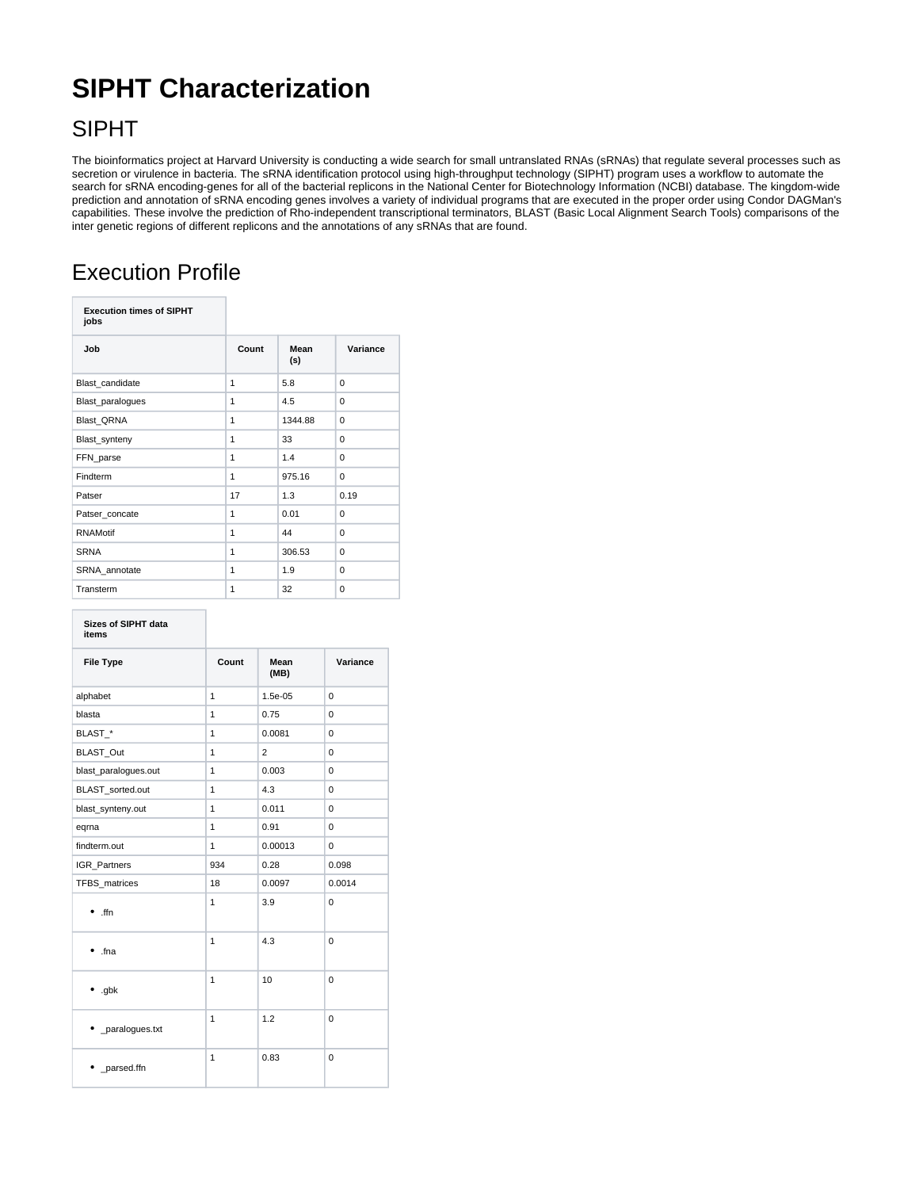## **SIPHT Characterization**

## SIPHT

The bioinformatics project at Harvard University is conducting a wide search for small untranslated RNAs (sRNAs) that regulate several processes such as secretion or virulence in bacteria. The sRNA identification protocol using high-throughput technology (SIPHT) program uses a workflow to automate the search for sRNA encoding-genes for all of the bacterial replicons in the National Center for Biotechnology Information (NCBI) database. The kingdom-wide prediction and annotation of sRNA encoding genes involves a variety of individual programs that are executed in the proper order using Condor DAGMan's capabilities. These involve the prediction of Rho-independent transcriptional terminators, BLAST (Basic Local Alignment Search Tools) comparisons of the inter genetic regions of different replicons and the annotations of any sRNAs that are found.

## Execution Profile

| <b>Execution times of SIPHT</b><br>jobs |              |             |          |
|-----------------------------------------|--------------|-------------|----------|
| Job                                     | Count        | Mean<br>(s) | Variance |
| Blast candidate                         | 1            | 5.8         | 0        |
| Blast_paralogues                        | 1            | 4.5         | $\Omega$ |
| <b>Blast QRNA</b>                       | $\mathbf{1}$ | 1344.88     | $\Omega$ |
| Blast_synteny                           | 1            | 33          | $\Omega$ |
| FFN_parse                               | $\mathbf{1}$ | 1.4         | 0        |
| Findterm                                | 1            | 975.16      | 0        |
| Patser                                  | 17           | 1.3         | 0.19     |
| Patser concate                          | 1            | 0.01        | 0        |
| <b>RNAMotif</b>                         | 1            | 44          | $\Omega$ |
| <b>SRNA</b>                             | $\mathbf{1}$ | 306.53      | $\Omega$ |
| SRNA_annotate                           | 1            | 1.9         | $\Omega$ |
| Transterm                               | 1            | 32          | 0        |

| <b>Sizes of SIPHT data</b><br>items |              |                |             |
|-------------------------------------|--------------|----------------|-------------|
| <b>File Type</b>                    | Count        | Mean<br>(MB)   | Variance    |
| alphabet                            | 1            | 1.5e-05        | $\Omega$    |
| blasta                              | 1            | 0.75           | 0           |
| BLAST_*                             | 1            | 0.0081         | 0           |
| BLAST_Out                           | 1            | $\overline{2}$ | 0           |
| blast_paralogues.out                | $\mathbf{1}$ | 0.003          | 0           |
| BLAST sorted.out                    | 1            | 4.3            | 0           |
| blast_synteny.out                   | 1            | 0.011          | 0           |
| eqrna                               | 1            | 0.91           | 0           |
| findterm.out                        | 1            | 0.00013        | 0           |
| <b>IGR</b> Partners                 | 934          | 0.28           | 0.098       |
| TFBS matrices                       | 18           | 0.0097         | 0.0014      |
| $\bullet$ ffn                       | 1            | 3.9            | 0           |
| .fna                                | 1            | 4.3            | 0           |
| $•$ .gbk                            | 1            | 10             | 0           |
| • _paralogues.txt                   | 1            | 1.2            | $\mathbf 0$ |
| _parsed.ffn                         | 1            | 0.83           | $\mathbf 0$ |